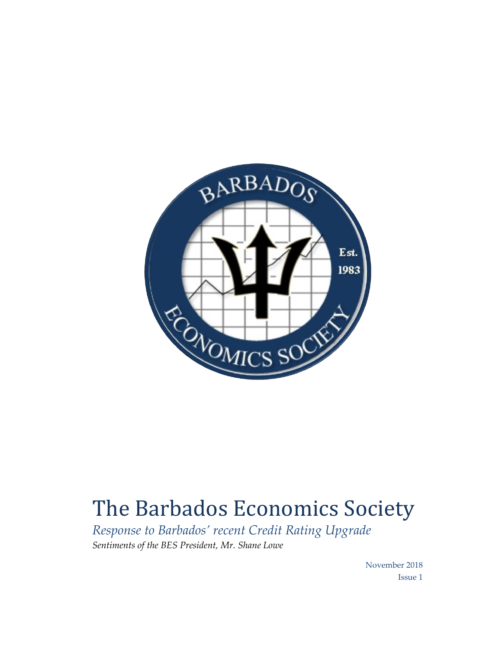

## The Barbados Economics Society

*Response to Barbados' recent Credit Rating Upgrade Sentiments of the BES President, Mr. Shane Lowe*

> November 2018 Issue 1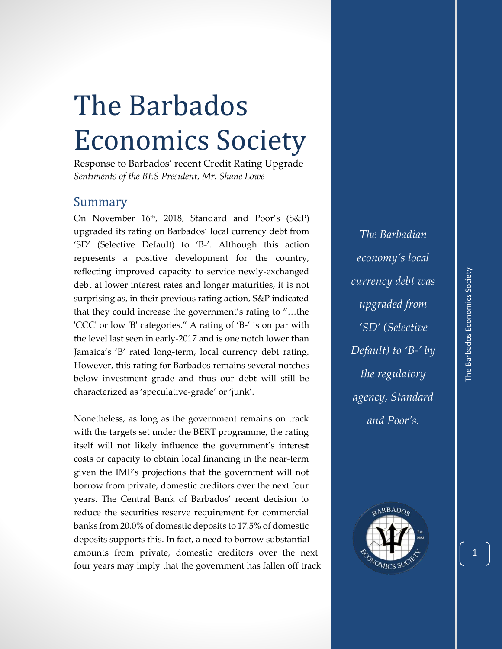## The Barbados Economics Society

Response to Barbados' recent Credit Rating Upgrade *Sentiments of the BES President, Mr. Shane Lowe*

## Summary

On November 16th, 2018, Standard and Poor's (S&P) upgraded its rating on Barbados' local currency debt from 'SD' (Selective Default) to 'B-'. Although this action represents a positive development for the country, reflecting improved capacity to service newly-exchanged debt at lower interest rates and longer maturities, it is not surprising as, in their previous rating action, S&P indicated that they could increase the government's rating to "…the 'CCC' or low 'B' categories." A rating of 'B-' is on par with the level last seen in early-2017 and is one notch lower than Jamaica's 'B' rated long-term, local currency debt rating. However, this rating for Barbados remains several notches below investment grade and thus our debt will still be characterized as 'speculative-grade' or 'junk'.

Nonetheless, as long as the government remains on track with the targets set under the BERT programme, the rating itself will not likely influence the government's interest costs or capacity to obtain local financing in the near-term given the IMF's projections that the government will not borrow from private, domestic creditors over the next four years. The Central Bank of Barbados' recent decision to reduce the securities reserve requirement for commercial banks from 20.0% of domestic deposits to 17.5% of domestic deposits supports this. In fact, a need to borrow substantial amounts from private, domestic creditors over the next four years may imply that the government has fallen off track

*The Barbadian economy's local currency debt was upgraded from 'SD' (Selective Default) to 'B-' by the regulatory agency, Standard and Poor's.*